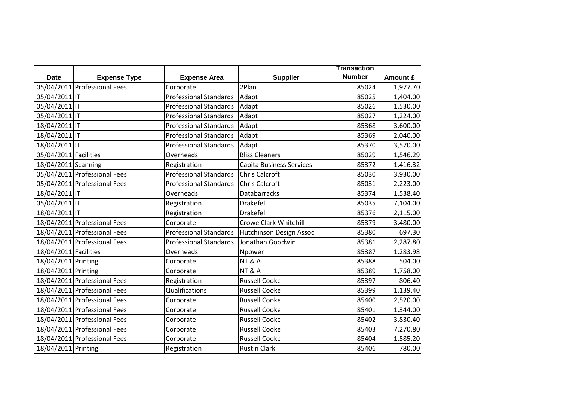|                       |                              |                               |                                 | <b>Transaction</b> |          |
|-----------------------|------------------------------|-------------------------------|---------------------------------|--------------------|----------|
| <b>Date</b>           | <b>Expense Type</b>          | <b>Expense Area</b>           | <b>Supplier</b>                 | <b>Number</b>      | Amount £ |
|                       | 05/04/2011 Professional Fees | Corporate                     | 2Plan                           | 85024              | 1,977.70 |
| 05/04/2011 IT         |                              | <b>Professional Standards</b> | Adapt                           | 85025              | 1,404.00 |
| 05/04/2011 IT         |                              | <b>Professional Standards</b> | Adapt                           | 85026              | 1,530.00 |
| 05/04/2011 IT         |                              | <b>Professional Standards</b> | Adapt                           | 85027              | 1,224.00 |
| 18/04/2011 IT         |                              | <b>Professional Standards</b> | Adapt                           | 85368              | 3,600.00 |
| 18/04/2011 IT         |                              | <b>Professional Standards</b> | Adapt                           | 85369              | 2,040.00 |
| 18/04/2011 IT         |                              | <b>Professional Standards</b> | Adapt                           | 85370              | 3,570.00 |
| 05/04/2011 Facilities |                              | Overheads                     | <b>Bliss Cleaners</b>           | 85029              | 1,546.29 |
| 18/04/2011 Scanning   |                              | Registration                  | <b>Capita Business Services</b> | 85372              | 1,416.32 |
|                       | 05/04/2011 Professional Fees | <b>Professional Standards</b> | <b>Chris Calcroft</b>           | 85030              | 3,930.00 |
|                       | 05/04/2011 Professional Fees | <b>Professional Standards</b> | <b>Chris Calcroft</b>           | 85031              | 2,223.00 |
| 18/04/2011 IT         |                              | Overheads                     | Databarracks                    | 85374              | 1,538.40 |
| 05/04/2011 IT         |                              | Registration                  | Drakefell                       | 85035              | 7,104.00 |
| 18/04/2011 IT         |                              | Registration                  | Drakefell                       | 85376              | 2,115.00 |
|                       | 18/04/2011 Professional Fees | Corporate                     | <b>Crowe Clark Whitehill</b>    | 85379              | 3,480.00 |
|                       | 18/04/2011 Professional Fees | <b>Professional Standards</b> | Hutchinson Design Assoc         | 85380              | 697.30   |
|                       | 18/04/2011 Professional Fees | <b>Professional Standards</b> | Jonathan Goodwin                | 85381              | 2,287.80 |
| 18/04/2011 Facilities |                              | Overheads                     | Npower                          | 85387              | 1,283.98 |
| 18/04/2011 Printing   |                              | Corporate                     | <b>NT &amp; A</b>               | 85388              | 504.00   |
| 18/04/2011 Printing   |                              | Corporate                     | <b>NT &amp; A</b>               | 85389              | 1,758.00 |
|                       | 18/04/2011 Professional Fees | Registration                  | <b>Russell Cooke</b>            | 85397              | 806.40   |
|                       | 18/04/2011 Professional Fees | Qualifications                | <b>Russell Cooke</b>            | 85399              | 1,139.40 |
|                       | 18/04/2011 Professional Fees | Corporate                     | <b>Russell Cooke</b>            | 85400              | 2,520.00 |
|                       | 18/04/2011 Professional Fees | Corporate                     | <b>Russell Cooke</b>            | 85401              | 1,344.00 |
|                       | 18/04/2011 Professional Fees | Corporate                     | <b>Russell Cooke</b>            | 85402              | 3,830.40 |
|                       | 18/04/2011 Professional Fees | Corporate                     | <b>Russell Cooke</b>            | 85403              | 7,270.80 |
|                       | 18/04/2011 Professional Fees | Corporate                     | <b>Russell Cooke</b>            | 85404              | 1,585.20 |
| 18/04/2011 Printing   |                              | Registration                  | <b>Rustin Clark</b>             | 85406              | 780.00   |